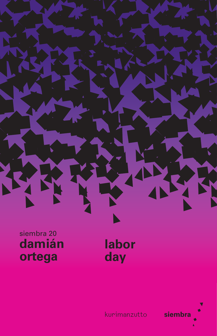

siembra 20 damián ortega

labor day



kurimanzutto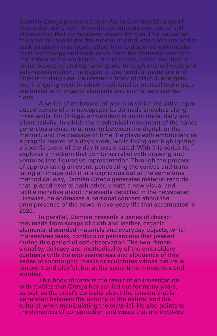Damián Ortega presents *Labor day* in Siembra 20, a set of works that were born from the continuous exercise of self observation that confinement meant for him. This pause led the artist to reconsider the modes of production of work and to seek solutions that would allow him to dispense with mechanical technology and work more from the domestic environment than in the workshop. In this search, which resulted in an introspective and cathartic game through manual work and self-representation, he began to use residual materials and objects of daily use. He created a body of playful, energetic and intriguing work in which traditional or manual techniques are mixed with organic elements and animal representations.

A series of embroidered works in which the artist reproduced covers of the newspaper La Jornada stretches along three walls. For Ortega, embroidery is an intimate, daily and silent activity, in which the mechanical movement of the hands generates a close relationship between the digital, or the manual, and the passage of time. He plays with embroidery as a graphic record of a day's work, while fixing and highlighting a specific event of the day it was created. With this series he explores a medium that combines relief with drawing and ventures into figurative representation. Through the process of appropriating an event, penetrating the canvas and translating an image into it in a capricious but at the same time methodical way, Damián Ortega generates material records that, placed next to each other, create a new visual and tactile narrative about the events depicted in the newspaper. Likewise, he addresses a personal concern about the omnipresence of the news in everyday life that accentuated in 2020.

In parallel, Damián presents a series of characters made from scraps of cloth and leather, organic elements, discarded materials and everyday objects, which materializes fears, conflicts or perversions that peeked during this period of self-observation. The two-dimensionality, delicacy and methodicality of the embroidery contrasts with the expressiveness and eloquence of this series of zoomorphic masks or sculptures whose nature is innocent and playful, but at the same time monstrous and somber.

This body of work is the result of an investigation with textiles that Ortega has carried out for many years, as well as the artist's curiosity about the tension that is generated between the notions of the natural and the cultural when manipulating the material. He also points to the dynamics of consumption and waste that are involved